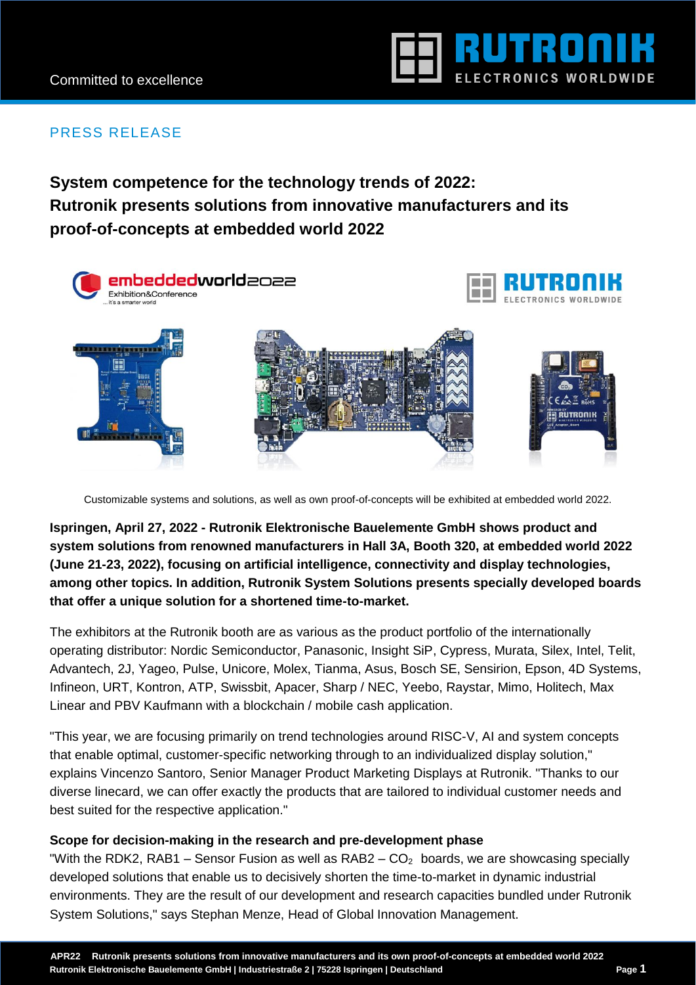

# PRESS RELEASE

**System competence for the technology trends of 2022: Rutronik presents solutions from innovative manufacturers and its proof-of-concepts at embedded world 2022**



Customizable systems and solutions, as well as own proof-of-concepts will be exhibited at embedded world 2022.

**Ispringen, April 27, 2022 - Rutronik Elektronische Bauelemente GmbH shows product and system solutions from renowned manufacturers in Hall 3A, Booth 320, at embedded world 2022 (June 21-23, 2022), focusing on artificial intelligence, connectivity and display technologies, among other topics. In addition, Rutronik System Solutions presents specially developed boards that offer a unique solution for a shortened time-to-market.** 

The exhibitors at the Rutronik booth are as various as the product portfolio of the internationally operating distributor: Nordic Semiconductor, Panasonic, Insight SiP, Cypress, Murata, Silex, Intel, Telit, Advantech, 2J, Yageo, Pulse, Unicore, Molex, Tianma, Asus, Bosch SE, Sensirion, Epson, 4D Systems, Infineon, URT, Kontron, ATP, Swissbit, Apacer, Sharp / NEC, Yeebo, Raystar, Mimo, Holitech, Max Linear and PBV Kaufmann with a blockchain / mobile cash application.

"This year, we are focusing primarily on trend technologies around RISC-V, AI and system concepts that enable optimal, customer-specific networking through to an individualized display solution," explains Vincenzo Santoro, Senior Manager Product Marketing Displays at Rutronik. "Thanks to our diverse linecard, we can offer exactly the products that are tailored to individual customer needs and best suited for the respective application."

## **Scope for decision-making in the research and pre-development phase**

"With the RDK2, RAB1 – Sensor Fusion as well as  $RAB2 - CO<sub>2</sub>$  boards, we are showcasing specially developed solutions that enable us to decisively shorten the time-to-market in dynamic industrial environments. They are the result of our development and research capacities bundled under Rutronik System Solutions," says Stephan Menze, Head of Global Innovation Management.